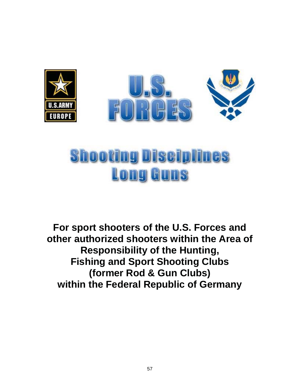

# **Shooting Disciplines Long Guns**

**For sport shooters of the U.S. Forces and other authorized shooters within the Area of Responsibility of the Hunting, Fishing and Sport Shooting Clubs (former Rod & Gun Clubs) within the Federal Republic of Germany**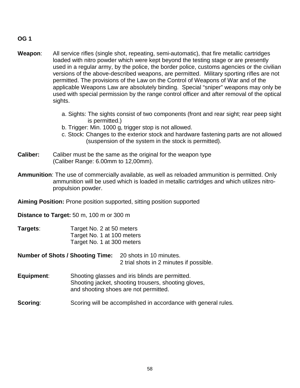#### **OG 1**

- **Weapon**: All service rifles (single shot, repeating, semi-automatic), that fire metallic cartridges loaded with nitro powder which were kept beyond the testing stage or are presently used in a regular army, by the police, the border police, customs agencies or the civilian versions of the above-described weapons, are permitted. Military sporting rifles are not permitted. The provisions of the Law on the Control of Weapons of War and of the applicable Weapons Law are absolutely binding. Special "sniper" weapons may only be used with special permission by the range control officer and after removal of the optical sights.
	- a. Sights: The sights consist of two components (front and rear sight; rear peep sight is permitted.)
	- b. Trigger: Min. 1000 g, trigger stop is not allowed.
	- c. Stock: Changes to the exterior stock and hardware fastening parts are not allowed (suspension of the system in the stock is permitted).
- **Caliber:** Caliber must be the same as the original for the weapon type (Caliber Range: 6.00mm to 12,00mm).
- **Ammunition**: The use of commercially available, as well as reloaded ammunition is permitted. Only ammunition will be used which is loaded in metallic cartridges and which utilizes nitropropulsion powder.

**Aiming Position:** Prone position supported, sitting position supported

**Distance to Target:** 50 m, 100 m or 300 m

- **Targets:** Target No. 2 at 50 meters Target No. 1 at 100 meters Target No. 1 at 300 meters
- **Number of Shots / Shooting Time:** 20 shots in 10 minutes. 2 trial shots in 2 minutes if possible.
- **Equipment**: Shooting glasses and iris blinds are permitted. Shooting jacket, shooting trousers, shooting gloves, and shooting shoes are not permitted.
- **Scoring:** Scoring will be accomplished in accordance with general rules.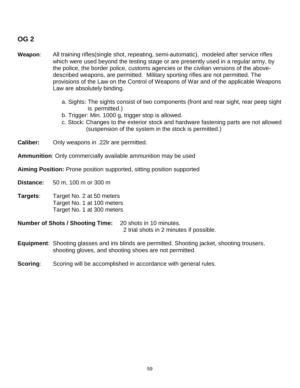# **OG 2**

- **Weapon**: All training rifles(single shot, repeating, semi-automatic), modeled after service rifles which were used beyond the testing stage or are presently used in a regular army, by the police, the border police, customs agencies or the civilian versions of the abovedescribed weapons, are permitted. Military sporting rifles are not permitted. The provisions of the Law on the Control of Weapons of War and of the applicable Weapons Law are absolutely binding.
	- a. Sights: The sights consist of two components (front and rear sight, rear peep sight is permitted.)
	- b. Trigger: Min. 1000 g, trigger stop is allowed.
	- c. Stock: Changes to the exterior stock and hardware fastening parts are not allowed (suspension of the system in the stock is permitted.)

**Caliber:** Only weapons in .22lr are permitted.

**Ammunition**: Only commercially available ammunition may be used

**Aiming Position:** Prone position supported, sitting position supported

**Distance:** 50 m, 100 m or 300 m

**Targets**: Target No. 2 at 50 meters Target No. 1 at 100 meters Target No. 1 at 300 meters

**Number of Shots / Shooting Time:** 20 shots in 10 minutes. 2 trial shots in 2 minutes if possible.

**Equipment**: Shooting glasses and iris blinds are permitted. Shooting jacket, shooting trousers, shooting gloves, and shooting shoes are not permitted.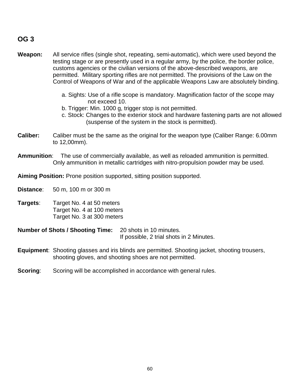# **OG 3**

- **Weapon:** All service rifles (single shot, repeating, semi-automatic), which were used beyond the testing stage or are presently used in a regular army, by the police, the border police, customs agencies or the civilian versions of the above-described weapons, are permitted. Military sporting rifles are not permitted. The provisions of the Law on the Control of Weapons of War and of the applicable Weapons Law are absolutely binding.
	- a. Sights: Use of a rifle scope is mandatory. Magnification factor of the scope may not exceed 10.
	- b. Trigger: Min. 1000 g, trigger stop is not permitted.
	- c. Stock: Changes to the exterior stock and hardware fastening parts are not allowed (suspense of the system in the stock is permitted).
- **Caliber:** Caliber must be the same as the original for the weapon type (Caliber Range: 6.00mm to 12,00mm).
- **Ammunition**: The use of commercially available, as well as reloaded ammunition is permitted. Only ammunition in metallic cartridges with nitro-propulsion powder may be used.

**Aiming Position:** Prone position supported, sitting position supported.

**Distance**: 50 m, 100 m or 300 m

**Targets**: Target No. 4 at 50 meters Target No. 4 at 100 meters Target No. 3 at 300 meters

**Number of Shots / Shooting Time:** 20 shots in 10 minutes. If possible, 2 trial shots in 2 Minutes.

**Equipment**: Shooting glasses and iris blinds are permitted. Shooting jacket, shooting trousers, shooting gloves, and shooting shoes are not permitted.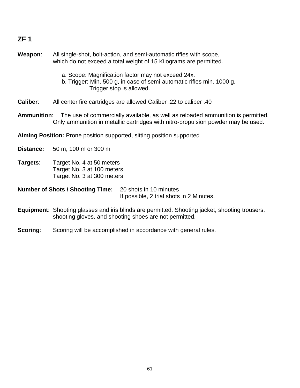# **ZF 1**

**Weapon**: All single-shot, bolt-action, and semi-automatic rifles with scope, which do not exceed a total weight of 15 Kilograms are permitted.

- a. Scope: Magnification factor may not exceed 24x.
- b. Trigger: Min. 500 g, in case of semi-automatic rifles min. 1000 g. Trigger stop is allowed.
- **Caliber**: All center fire cartridges are allowed Caliber .22 to caliber .40
- **Ammunition**: The use of commercially available, as well as reloaded ammunition is permitted. Only ammunition in metallic cartridges with nitro-propulsion powder may be used.
- **Aiming Position:** Prone position supported, sitting position supported

**Distance:** 50 m, 100 m or 300 m

**Targets**: Target No. 4 at 50 meters Target No. 3 at 100 meters Target No. 3 at 300 meters

**Number of Shots / Shooting Time:** 20 shots in 10 minutes If possible, 2 trial shots in 2 Minutes.

- **Equipment**: Shooting glasses and iris blinds are permitted. Shooting jacket, shooting trousers, shooting gloves, and shooting shoes are not permitted.
- **Scoring:** Scoring will be accomplished in accordance with general rules.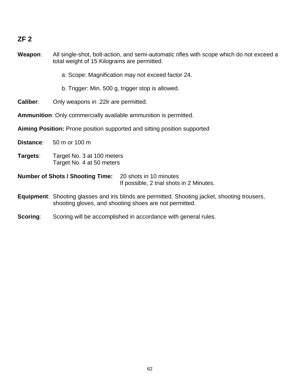# **ZF 2**

| Weapon:         | All single-shot, bolt-action, and semi-automatic rifles with scope which do not exceed a<br>total weight of 15 Kilograms are permitted.                         |
|-----------------|-----------------------------------------------------------------------------------------------------------------------------------------------------------------|
|                 | a. Scope: Magnification may not exceed factor 24.                                                                                                               |
|                 | b. Trigger: Min. 500 g, trigger stop is allowed.                                                                                                                |
| <b>Caliber:</b> | Only weapons in .22Ir are permitted.                                                                                                                            |
|                 | <b>Ammunition:</b> Only commercially available ammunition is permitted.                                                                                         |
|                 | <b>Aiming Position:</b> Prone position supported and sitting position supported                                                                                 |
| Distance:       | 50 m or 100 m                                                                                                                                                   |
| Targets:        | Target No. 3 at 100 meters<br>Target No. 4 at 50 meters                                                                                                         |
|                 | <b>Number of Shots / Shooting Time:</b><br>20 shots in 10 minutes<br>If possible, 2 trial shots in 2 Minutes.                                                   |
|                 | <b>Equipment:</b> Shooting glasses and iris blinds are permitted. Shooting jacket, shooting trousers,<br>shooting gloves, and shooting shoes are not permitted. |
| Scoring:        | Scoring will be accomplished in accordance with general rules.                                                                                                  |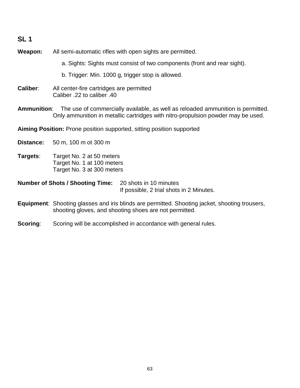| SL <sub>1</sub>  |                                                                                       |                                                                                                                                                                     |
|------------------|---------------------------------------------------------------------------------------|---------------------------------------------------------------------------------------------------------------------------------------------------------------------|
| Weapon:          | All semi-automatic rifles with open sights are permitted.                             |                                                                                                                                                                     |
|                  |                                                                                       | a. Sights: Sights must consist of two components (front and rear sight).                                                                                            |
|                  | b. Trigger: Min. 1000 g, trigger stop is allowed.                                     |                                                                                                                                                                     |
| Caliber:         | All center-fire cartridges are permitted<br>40. Caliber .22 to caliber                |                                                                                                                                                                     |
| Ammunition:      |                                                                                       | The use of commercially available, as well as reloaded ammunition is permitted.<br>Only ammunition in metallic cartridges with nitro-propulsion powder may be used. |
|                  | <b>Aiming Position:</b> Prone position supported, sitting position supported          |                                                                                                                                                                     |
| <b>Distance:</b> | 50 m, 100 m ot 300 m                                                                  |                                                                                                                                                                     |
| Targets:         | Target No. 2 at 50 meters<br>Target No. 1 at 100 meters<br>Target No. 3 at 300 meters |                                                                                                                                                                     |
|                  | <b>Number of Shots / Shooting Time:</b>                                               | 20 shots in 10 minutes<br>If possible, 2 trial shots in 2 Minutes.                                                                                                  |
|                  | shooting gloves, and shooting shoes are not permitted.                                | Equipment: Shooting glasses and iris blinds are permitted. Shooting jacket, shooting trousers,                                                                      |
| Scoring:         | Scoring will be accomplished in accordance with general rules.                        |                                                                                                                                                                     |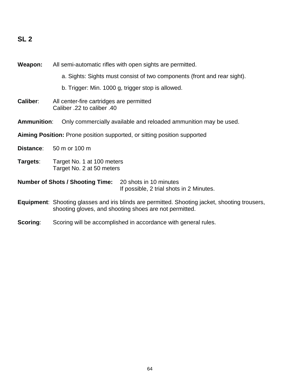# **SL 2**

| Weapon:            | All semi-automatic rifles with open sights are permitted.              |                                                                                                                                                                 |
|--------------------|------------------------------------------------------------------------|-----------------------------------------------------------------------------------------------------------------------------------------------------------------|
|                    |                                                                        | a. Sights: Sights must consist of two components (front and rear sight).                                                                                        |
|                    |                                                                        | b. Trigger: Min. 1000 g, trigger stop is allowed.                                                                                                               |
| <b>Caliber:</b>    | All center-fire cartridges are permitted<br>Caliber .22 to caliber .40 |                                                                                                                                                                 |
| <b>Ammunition:</b> |                                                                        | Only commercially available and reloaded ammunition may be used.                                                                                                |
|                    |                                                                        | Aiming Position: Prone position supported, or sitting position supported                                                                                        |
| Distance:          | 50 m or 100 m                                                          |                                                                                                                                                                 |
| Targets:           | Target No. 1 at 100 meters<br>Target No. 2 at 50 meters                |                                                                                                                                                                 |
|                    | <b>Number of Shots / Shooting Time:</b> 20 shots in 10 minutes         | If possible, 2 trial shots in 2 Minutes.                                                                                                                        |
|                    |                                                                        | <b>Equipment:</b> Shooting glasses and iris blinds are permitted. Shooting jacket, shooting trousers,<br>shooting gloves, and shooting shoes are not permitted. |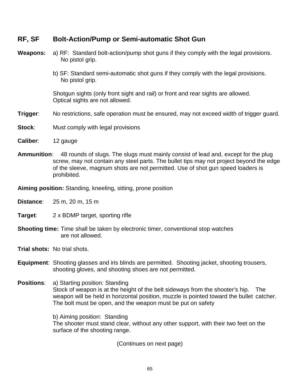| .                  | <b>POR AUGURI GRIP UP UUR GULUI GULUI URU UNU UUR</b>                                                                                                                                                                                                            |
|--------------------|------------------------------------------------------------------------------------------------------------------------------------------------------------------------------------------------------------------------------------------------------------------|
| <b>Weapons:</b>    | a) RF: Standard bolt-action/pump shot guns if they comply with the legal provisions.<br>No pistol grip.                                                                                                                                                          |
|                    | b) SF: Standard semi-automatic shot guns if they comply with the legal provisions.<br>No pistol grip.                                                                                                                                                            |
|                    | Shotgun sights (only front sight and rail) or front and rear sights are allowed.<br>Optical sights are not allowed.                                                                                                                                              |
| Trigger:           | No restrictions, safe operation must be ensured, may not exceed width of trigger guard.                                                                                                                                                                          |
| Stock:             | Must comply with legal provisions                                                                                                                                                                                                                                |
| Caliber:           | 12 gauge                                                                                                                                                                                                                                                         |
| <b>Ammunition:</b> | 48 rounds of slugs. The slugs must mainly consist of lead and, except for the plug<br>screw, may not contain any steel parts. The bullet tips may not project beyond the edge<br>of the sleeve, magnum shots are not permitted. Use of shot gun speed loaders is |

**Aiming position:** Standing, kneeling, sitting, prone position

**RF, SF Bolt-Action/Pump or Semi-automatic Shot Gun**

**Distance**: 25 m, 20 m, 15 m

prohibited.

- **Target**: 2 x BDMP target, sporting rifle
- **Shooting time:** Time shall be taken by electronic timer, conventional stop watches are not allowed.
- **Trial shots:** No trial shots.
- **Equipment**: Shooting glasses and iris blinds are permitted. Shooting jacket, shooting trousers, shooting gloves, and shooting shoes are not permitted.
- **Positions**: a) Starting position: Standing Stock of weapon is at the height of the belt sideways from the shooter's hip. The weapon will be held in horizontal position, muzzle is pointed toward the bullet catcher. The bolt must be open, and the weapon must be put on safety

b) Aiming position: Standing The shooter must stand clear, without any other support, with their two feet on the surface of the shooting range.

(Continues on next page)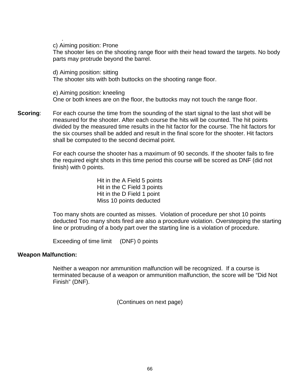c) Aiming position: Prone

.

The shooter lies on the shooting range floor with their head toward the targets. No body parts may protrude beyond the barrel.

d) Aiming position: sitting The shooter sits with both buttocks on the shooting range floor.

e) Aiming position: kneeling One or both knees are on the floor, the buttocks may not touch the range floor.

**Scoring:** For each course the time from the sounding of the start signal to the last shot will be measured for the shooter. After each course the hits will be counted. The hit points divided by the measured time results in the hit factor for the course. The hit factors for the six courses shall be added and result in the final score for the shooter. Hit factors shall be computed to the second decimal point.

> For each course the shooter has a maximum of 90 seconds. If the shooter fails to fire the required eight shots in this time period this course will be scored as DNF (did not finish) with 0 points.

> > Hit in the A Field 5 points Hit in the C Field 3 points Hit in the D Field 1 point Miss 10 points deducted

Too many shots are counted as misses. Violation of procedure per shot 10 points deducted Too many shots fired are also a procedure violation. Overstepping the starting line or protruding of a body part over the starting line is a violation of procedure.

Exceeding of time limit (DNF) 0 points

#### **Weapon Malfunction:**

Neither a weapon nor ammunition malfunction will be recognized. If a course is terminated because of a weapon or ammunition malfunction, the score will be "Did Not Finish" (DNF).

(Continues on next page)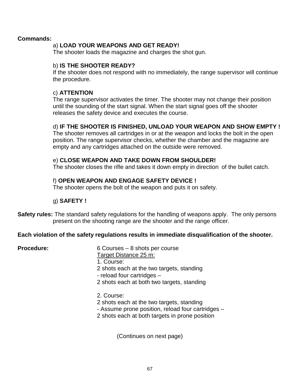#### **Commands:**

#### a) **LOAD YOUR WEAPONS AND GET READY!**

The shooter loads the magazine and charges the shot gun.

#### b) **IS THE SHOOTER READY?**

If the shooter does not respond with no immediately, the range supervisor will continue the procedure.

#### c) **ATTENTION**

The range supervisor activates the timer. The shooter may not change their position until the sounding of the start signal. When the start signal goes off the shooter releases the safety device and executes the course.

#### d) **IF THE SHOOTER IS FINISHED, UNLOAD YOUR WEAPON AND SHOW EMPTY !**

The shooter removes all cartridges in or at the weapon and locks the bolt in the open position. The range supervisor checks, whether the chamber and the magazine are empty and any cartridges attached on the outside were removed.

#### e) **CLOSE WEAPON AND TAKE DOWN FROM SHOULDER!**

The shooter closes the rifle and takes it down empty in direction of the bullet catch.

#### f) **OPEN WEAPON AND ENGAGE SAFETY DEVICE !**

The shooter opens the bolt of the weapon and puts it on safety.

#### g) **SAFETY !**

**Safety rules:** The standard safety regulations for the handling of weapons apply. The only persons present on the shooting range are the shooter and the range officer.

#### **Each violation of the safety regulations results in immediate disqualification of the shooter.**

**Procedure:** 6 Courses – 8 shots per course Target Distance 25 m: 1. Course: 2 shots each at the two targets, standing - reload four cartridges – 2 shots each at both two targets, standing

#### 2. Course:

- 2 shots each at the two targets, standing
- Assume prone position, reload four cartridges –
- 2 shots each at both targets in prone position

(Continues on next page)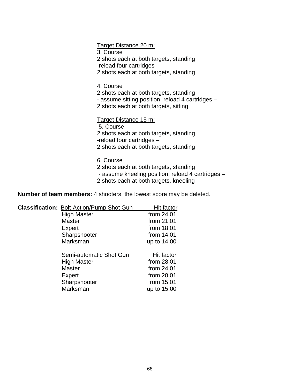Target Distance 20 m:

3. Course

2 shots each at both targets, standing

-reload four cartridges –

2 shots each at both targets, standing

4. Course

2 shots each at both targets, standing

- assume sitting position, reload 4 cartridges –

2 shots each at both targets, sitting

Target Distance 15 m:

5. Course

2 shots each at both targets, standing

-reload four cartridges –

2 shots each at both targets, standing

6. Course

2 shots each at both targets, standing

- assume kneeling position, reload 4 cartridges –

2 shots each at both targets, kneeling

**Number of team members:** 4 shooters, the lowest score may be deleted.

| <b>Classification: Bolt-Action/Pump Shot Gun</b> | Hit factor   |
|--------------------------------------------------|--------------|
| <b>High Master</b>                               | from 24.01   |
| <b>Master</b>                                    | from 21.01   |
| Expert                                           | from 18.01   |
| Sharpshooter                                     | from $14.01$ |
| Marksman                                         | up to 14.00  |
| Semi-automatic Shot Gun                          | Hit factor   |
| <b>High Master</b>                               | from 28.01   |
| <b>Master</b>                                    | from $24.01$ |
| Expert                                           | from 20.01   |
| Sharpshooter                                     | from 15.01   |
| Marksman                                         | up to 15.00  |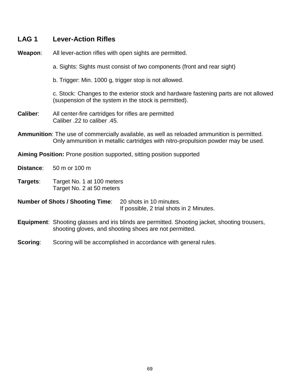| LAG <sub>1</sub> | <b>Lever-Action Rifles</b>                                                                                                                                                      |
|------------------|---------------------------------------------------------------------------------------------------------------------------------------------------------------------------------|
| Weapon:          | All lever-action rifles with open sights are permitted.                                                                                                                         |
|                  | a. Sights: Sights must consist of two components (front and rear sight)                                                                                                         |
|                  | b. Trigger: Min. 1000 g, trigger stop is not allowed.                                                                                                                           |
|                  | c. Stock: Changes to the exterior stock and hardware fastening parts are not allowed<br>(suspension of the system in the stock is permitted).                                   |
| Caliber:         | All center-fire cartridges for rifles are permitted<br>.45. Caliber .22 to caliber                                                                                              |
|                  | Ammunition: The use of commercially available, as well as reloaded ammunition is permitted.<br>Only ammunition in metallic cartridges with nitro-propulsion powder may be used. |
|                  | Aiming Position: Prone position supported, sitting position supported                                                                                                           |
| Distance:        | 50 m or 100 m                                                                                                                                                                   |
| Targets:         | Target No. 1 at 100 meters<br>Target No. 2 at 50 meters                                                                                                                         |
|                  | <b>Number of Shots / Shooting Time:</b><br>20 shots in 10 minutes.<br>If possible, 2 trial shots in 2 Minutes.                                                                  |
|                  | <b>Equipment:</b> Shooting glasses and iris blinds are permitted. Shooting jacket, shooting trousers,<br>shooting gloves, and shooting shoes are not permitted.                 |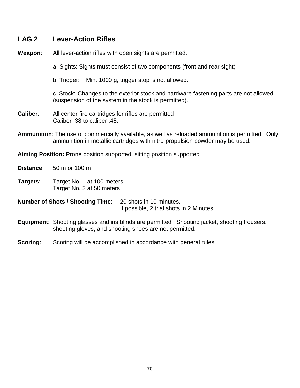| LAG <sub>2</sub> | <b>Lever-Action Rifles</b>                                                                                                                                                              |
|------------------|-----------------------------------------------------------------------------------------------------------------------------------------------------------------------------------------|
| Weapon:          | All lever-action rifles with open sights are permitted.                                                                                                                                 |
|                  | a. Sights: Sights must consist of two components (front and rear sight)                                                                                                                 |
|                  | b. Trigger: Min. 1000 g, trigger stop is not allowed.                                                                                                                                   |
|                  | c. Stock: Changes to the exterior stock and hardware fastening parts are not allowed<br>(suspension of the system in the stock is permitted).                                           |
| Caliber:         | All center-fire cartridges for rifles are permitted<br>Caliber .38 to caliber .45.                                                                                                      |
|                  | <b>Ammunition</b> : The use of commercially available, as well as reloaded ammunition is permitted. Only<br>ammunition in metallic cartridges with nitro-propulsion powder may be used. |
|                  | <b>Aiming Position:</b> Prone position supported, sitting position supported                                                                                                            |
| Distance:        | 50 m or 100 m                                                                                                                                                                           |
| Targets:         | Target No. 1 at 100 meters<br>Target No. 2 at 50 meters                                                                                                                                 |
|                  | <b>Number of Shots / Shooting Time:</b><br>20 shots in 10 minutes.<br>If possible, 2 trial shots in 2 Minutes.                                                                          |
|                  | Equipment: Shooting glasses and iris blinds are permitted. Shooting jacket, shooting trousers,<br>shooting gloves, and shooting shoes are not permitted.                                |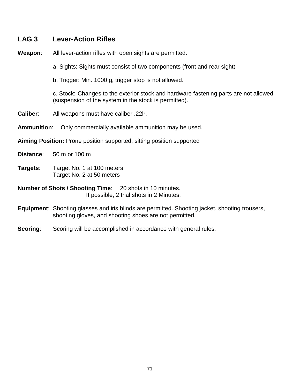# **LAG 3 Lever-Action Rifles**

| Weapon:                                                                                                     | All lever-action rifles with open sights are permitted.                                                                                                         |
|-------------------------------------------------------------------------------------------------------------|-----------------------------------------------------------------------------------------------------------------------------------------------------------------|
|                                                                                                             | a. Sights: Sights must consist of two components (front and rear sight)                                                                                         |
|                                                                                                             | b. Trigger: Min. 1000 g, trigger stop is not allowed.                                                                                                           |
|                                                                                                             | c. Stock: Changes to the exterior stock and hardware fastening parts are not allowed<br>(suspension of the system in the stock is permitted).                   |
| <b>Caliber:</b>                                                                                             | All weapons must have caliber .22Ir.                                                                                                                            |
| <b>Ammunition:</b>                                                                                          | Only commercially available ammunition may be used.                                                                                                             |
|                                                                                                             | <b>Aiming Position:</b> Prone position supported, sitting position supported                                                                                    |
| Distance:                                                                                                   | 50 m or 100 m                                                                                                                                                   |
| Targets:                                                                                                    | Target No. 1 at 100 meters<br>Target No. 2 at 50 meters                                                                                                         |
| <b>Number of Shots / Shooting Time:</b> 20 shots in 10 minutes.<br>If possible, 2 trial shots in 2 Minutes. |                                                                                                                                                                 |
|                                                                                                             | <b>Equipment:</b> Shooting glasses and iris blinds are permitted. Shooting jacket, shooting trousers,<br>shooting gloves, and shooting shoes are not permitted. |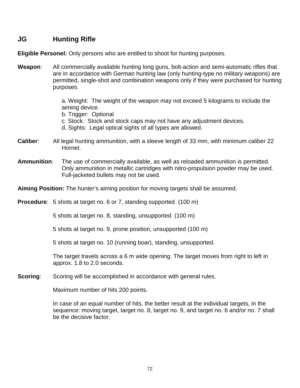# **JG Hunting Rifle**

**Eligible Personel:** Only persons who are entitled to shoot for hunting purposes.

**Weapon**: All commercially available hunting long guns, bolt-action and semi-automatic rifles that are in accordance with German hunting law (only hunting-type no military weapons) are permitted, single-shot and combination weapons only if they were purchased for hunting purposes.

> a. Weight: The weight of the weapon may not exceed 5 kilograms to include the aiming device.

- b. Trigger: Optional
- c. Stock: Stock and stock caps may not have any adjustment devices.
- d. Sights: Legal optical sights of all types are allowed.
- **Caliber**: All legal hunting ammunition, with a sleeve length of 33 mm, with minimum caliber 22 Hornet.
- **Ammunition**: The use of commercially available, as well as reloaded ammunition is permitted. Only ammunition in metallic cartridges with nitro-propulsion powder may be used. Full-jacketed bullets may not be used.

**Aiming Position:** The hunter's aiming position for moving targets shall be assumed.

**Procedure**: 5 shots at target no. 6 or 7, standing supported (100 m)

5 shots at target no. 8, standing, unsupported (100 m)

5 shots at target no. 9, prone position, unsupported (100 m)

5 shots at target no. 10 (running boar), standing, unsupported.

The target travels across a 6 m wide opening. The target moves from right to left in approx. 1.8 to 2.0 seconds.

**Scoring:** Scoring will be accomplished in accordance with general rules.

Maximum number of hits 200 points.

In case of an equal number of hits, the better result at the individual targets, in the sequence: moving target, target no. 8, target no. 9, and target no. 6 and/or no. 7 shall be the decisive factor.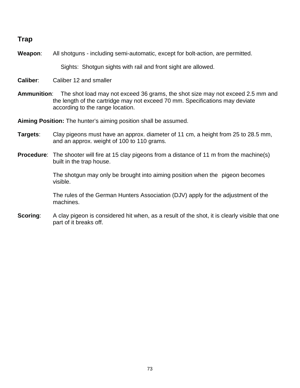## **Trap**

**Weapon**: All shotguns - including semi-automatic, except for bolt-action, are permitted.

Sights: Shotgun sights with rail and front sight are allowed.

**Caliber**: Caliber 12 and smaller

**Ammunition**: The shot load may not exceed 36 grams, the shot size may not exceed 2.5 mm and the length of the cartridge may not exceed 70 mm. Specifications may deviate according to the range location.

**Aiming Position:** The hunter's aiming position shall be assumed.

- **Targets**: Clay pigeons must have an approx. diameter of 11 cm, a height from 25 to 28.5 mm, and an approx. weight of 100 to 110 grams.
- **Procedure**: The shooter will fire at 15 clay pigeons from a distance of 11 m from the machine(s) built in the trap house.

The shotgun may only be brought into aiming position when the pigeon becomes visible.

The rules of the German Hunters Association (DJV) apply for the adjustment of the machines.

**Scoring:** A clay pigeon is considered hit when, as a result of the shot, it is clearly visible that one part of it breaks off.